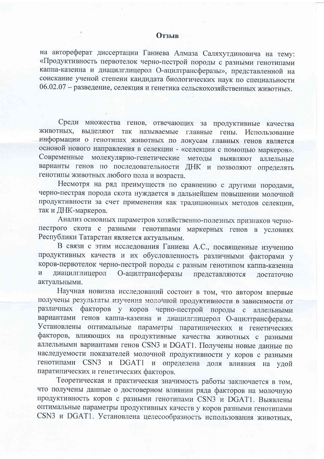## **Отзыв**

на автореферат диссертации Ганиева Алмаза Саляхутдиновича на тему: «Продуктивность первотелок черно-пестрой породы с разными генотипами каппа-казеина и диацилглицерол О-ацилтрансферазы», представленной на соискание ученой степени кандидата биологических наук по специальности 06.02.07 - разведение, селекция и генетика сельскохозяйственных животных.

Среди множества генов, отвечающих за продуктивные качества выделяют так называемые главные гены. Использование ЖИВОТНЫХ. информации о генотипах животных по локусам главных генов является основой нового направления в селекции - «селекции с помощью маркеров». Современные молекулярно-генетические методы ВЫЯВЛЯЮТ аллельные варианты генов по последовательности ДНК и позволяют определять генотипы животных любого пола и возраста.

Несмотря на ряд преимуществ по сравнению с другими породами, черно-пестрая порода скота нуждается в дальнейшем повышении молочной продуктивности за счет применения как традиционных методов селекции, так и ДНК-маркеров.

Анализ основных параметров хозяйственно-полезных признаков чернопестрого скота с разными генотипами маркерных генов в условиях Республики Татарстан является актуальным.

В связи с этим исследования Ганиева А.С., посвященные изучению продуктивных качеств и их обусловленность различными факторами у коров-первотелок черно-пестрой породы с разным генотипом каппа-казеина О-ацилтрансферазы диацилглицерол  $\,$  M представляются достаточно актуальными.

Научная новизна исследований состоит в том, что автором впервые получены результаты изучения молочной продуктивности в зависимости от различных факторов у коров черно-пестрой породы с аллельными вариантами генов каппа-казеина и диацилглицерол О-ацилтрансферазы. Установлены оптимальные параметры паратипических и генетических факторов, влияющих на продуктивные качества животных с разными аллельными вариантами генов CSN3 и DGAT1. Получены новые данные по наследуемости показателей молочной продуктивности у коров с разными генотипами CSN3 и DGAT1 и определена доля влияния на удой паратипических и генетических факторов.

Теоретическая и практическая значимость работы заключается в том, что получены данные о достоверном влиянии ряда факторов на молочную продуктивность коров с разными генотипами CSN3 и DGAT1. Выявлены оптимальные параметры продуктивных качеств у коров разными генотипами CSN3 и DGAT1. Установлена целесообразность использования животных,